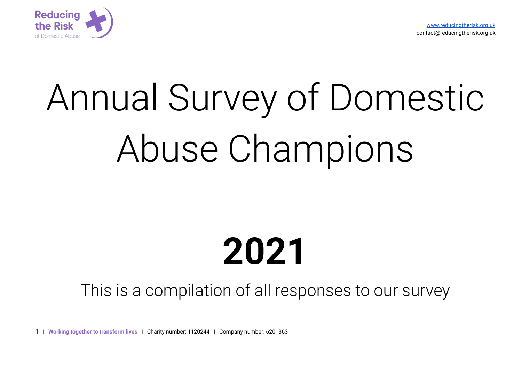



# Annual Survey of Domestic Abuse Champions

# **2021**

# This is a compilation of all responses to our survey

**1 | Working together to transform lives |** Charity number: 1120244 | Company number: 6201363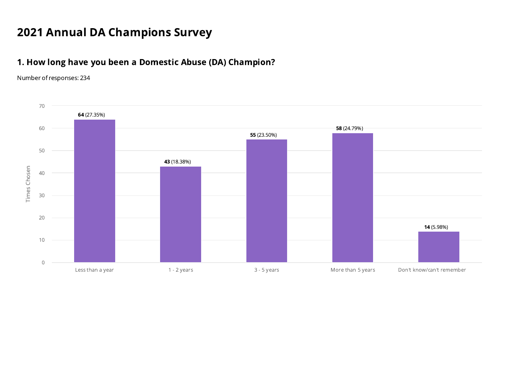# Annual DA Champions Survey

# 1. How long have you been a Domestic Abuse (DA) Champion?

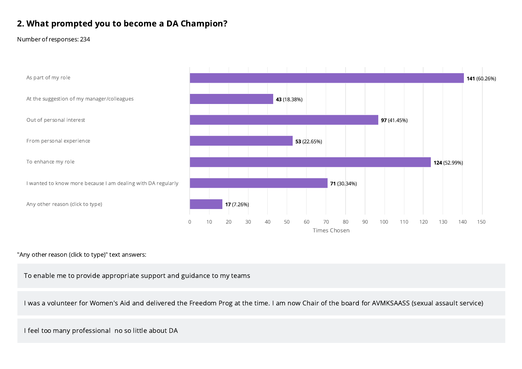# 2. What prompted you to become a DA Champion?

#### Number of responses: 234



#### "Any other reason (click to type)" text answers:

To enable me to provide appropriate support and guidance to my teams

I was a volunteer for Women's Aid and delivered the Freedom Prog at the time. I am now Chair of the board for AVMKSAASS (sexual assault service)

I feel too many professional no so little about DA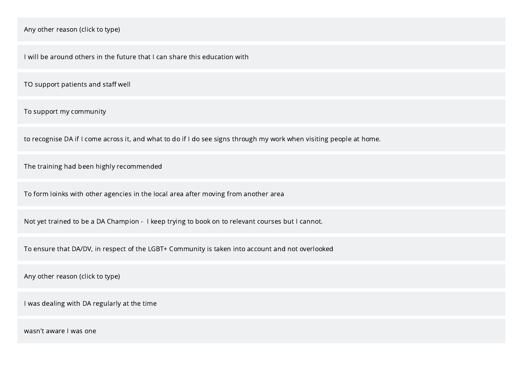I will be around others in the future that I can share this education with

TO support patients and staff well

To support my community

to recognise DA if I come across it, and what to do if I do see signs through my work when visiting people at home.

The training had been highly recommended

To form loinks with other agencies in the local area after moving from another area

Not yet trained to be a DA Champion - I keep trying to book on to relevant courses but I cannot.

To ensure that DA/DV, in respect of the LGBT+ Community is taken into account and not overlooked

Any other reason (click to type)

I was dealing with DA regularly at the time

wasn't aware I was one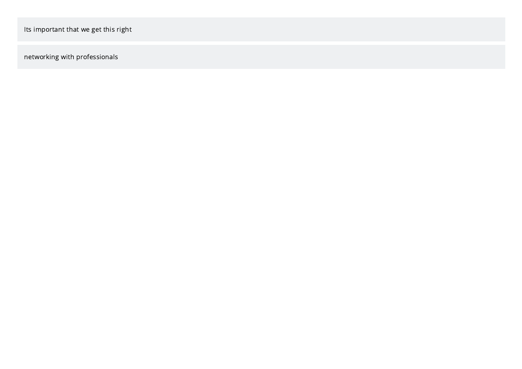networking with professionals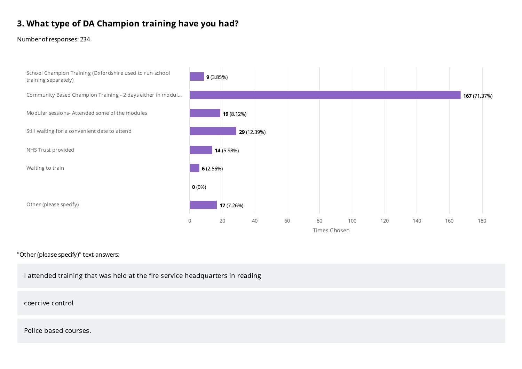# 3. What type of DA Champion training have you had?

Number of responses: 234



#### "Other (please specify)" text answers:

I attended training that was held at the fire service headquarters in reading

coercive control

Police based courses.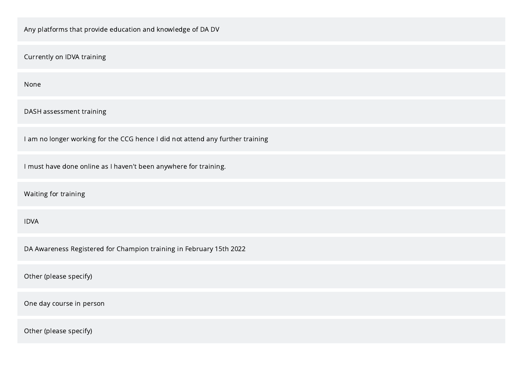| Any platforms that provide education and knowledge of DA DV                    |
|--------------------------------------------------------------------------------|
| Currently on IDVA training                                                     |
| None                                                                           |
| DASH assessment training                                                       |
| I am no longer working for the CCG hence I did not attend any further training |
| I must have done online as I haven't been anywhere for training.               |
| Waiting for training                                                           |
| <b>IDVA</b>                                                                    |
| DA Awareness Registered for Champion training in February 15th 2022            |
| Other (please specify)                                                         |
| One day course in person                                                       |
| Other (please specify)                                                         |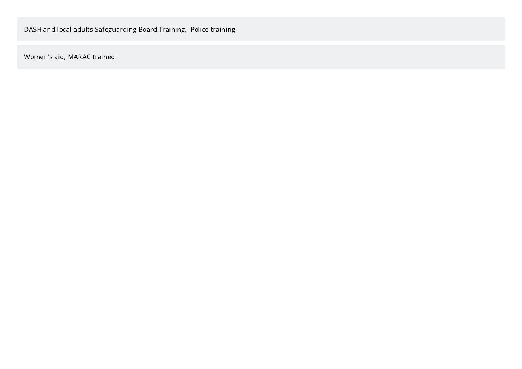Women's aid, MARAC trained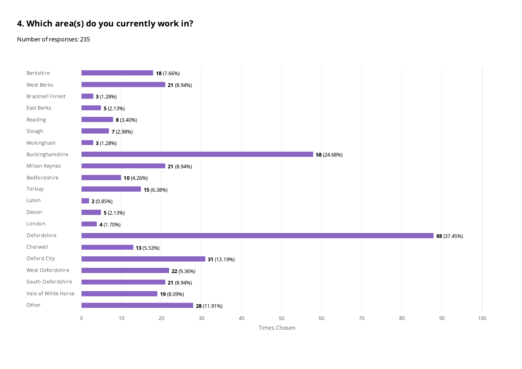# 4. Which area(s) do you currently work in?

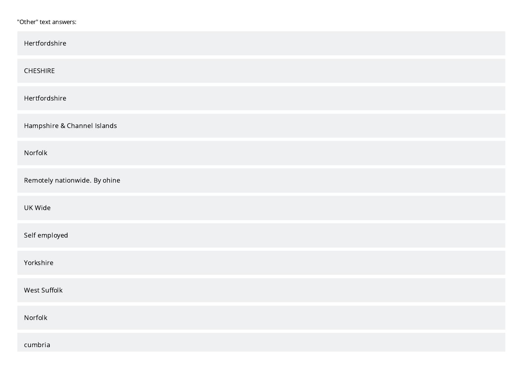#### "Other" text answers:

| Hertfordshire                 |
|-------------------------------|
| CHESHIRE                      |
| Hertfordshire                 |
| Hampshire & Channel Islands   |
| Norfolk                       |
| Remotely nationwide. By ohine |
| UK Wide                       |
| Self employed                 |
| Yorkshire                     |
| West Suffolk                  |
| Norfolk                       |
| cumbria                       |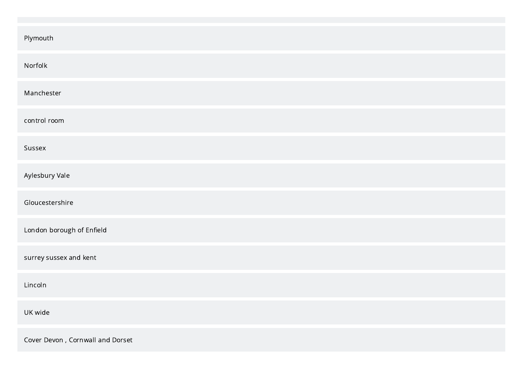| Plymouth                         |
|----------------------------------|
| Norfolk                          |
| Manchester                       |
| control room                     |
| Sussex                           |
| Aylesbury Vale                   |
| Gloucestershire                  |
| London borough of Enfield        |
| surrey sussex and kent           |
| Lincoln                          |
| UK wide                          |
| Cover Devon, Cornwall and Dorset |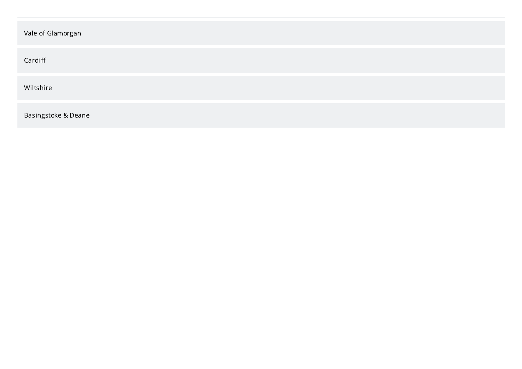| Vale of Glamorgan   |
|---------------------|
| Cardiff             |
| Wiltshire           |
| Basingstoke & Deane |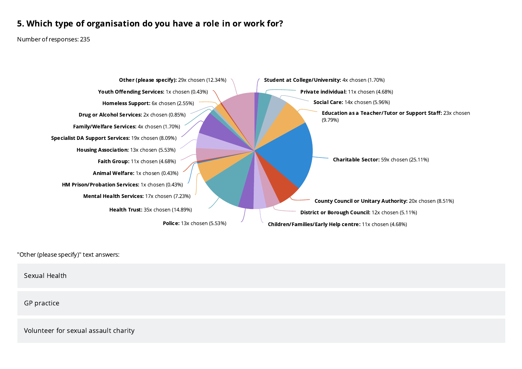# 5. Which type of organisation do you have a role in or work for?

Number of responses: 235



"Other (please specify)" text answers:

Sexual Health

GP practice

Volunteer for sexual assault charity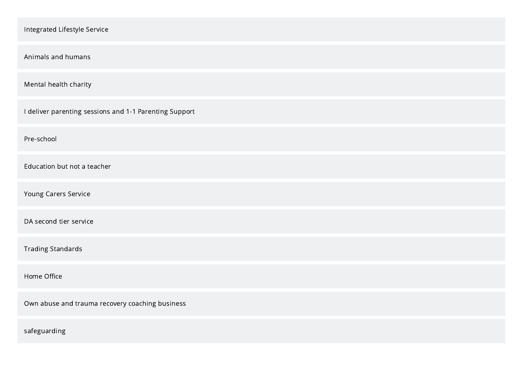| Integrated Lifestyle Service                           |
|--------------------------------------------------------|
|                                                        |
| Animals and humans                                     |
| Mental health charity                                  |
| I deliver parenting sessions and 1-1 Parenting Support |
| Pre-school                                             |
| Education but not a teacher                            |
| Young Carers Service                                   |
| DA second tier service                                 |
| <b>Trading Standards</b>                               |
| Home Office                                            |
| Own abuse and trauma recovery coaching business        |
| safeguarding                                           |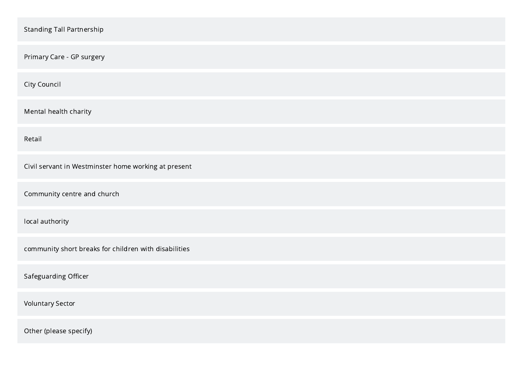| <b>Standing Tall Partnership</b>                      |
|-------------------------------------------------------|
| Primary Care - GP surgery                             |
| City Council                                          |
| Mental health charity                                 |
| Retail                                                |
| Civil servant in Westminster home working at present  |
| Community centre and church                           |
| local authority                                       |
| community short breaks for children with disabilities |
| Safeguarding Officer                                  |
| <b>Voluntary Sector</b>                               |
| Other (please specify)                                |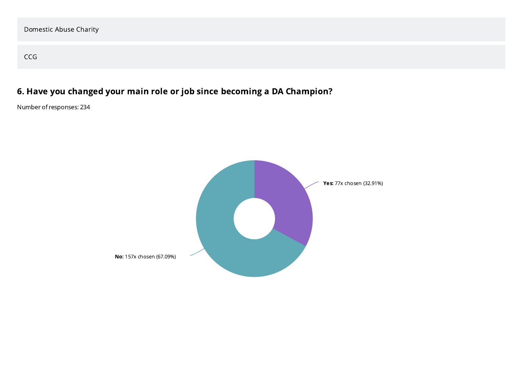CCG

# 6. Have you changed your main role or job since becoming a DA Champion?

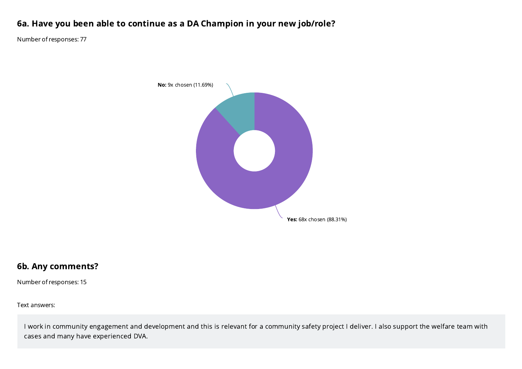# 6a. Have you been able to continue as a DA Champion in your new job/role?

Number of responses: 77



## 6b. Any comments?

Number of responses: 15

Text answers:

I work in community engagement and development and this is relevant for a community safety project I deliver. I also support the welfare team with cases and many have experienced DVA.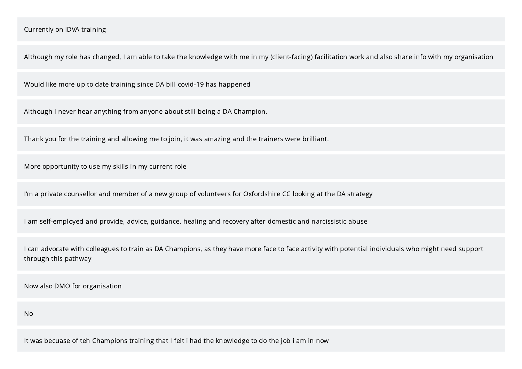Although my role has changed, I am able to take the knowledge with me in my (client-facing) facilitation work and also share info with my organisation

Would like more up to date training since DA bill covid-19 has happened

Although I never hear anything from anyone about still being a DA Champion.

Thank you for the training and allowing me to join, it was amazing and the trainers were brilliant.

More opportunity to use my skills in my current role

I'm a private counsellor and member of a new group of volunteers for Oxfordshire CC looking at the DA strategy

I am self-employed and provide, advice, guidance, healing and recovery after domestic and narcissistic abuse

I can advocate with colleagues to train as DA Champions, as they have more face to face activity with potential individuals who might need support through this pathway

Now also DMO for organisation

No

It was becuase of teh Champions training that I felt i had the knowledge to do the job i am in now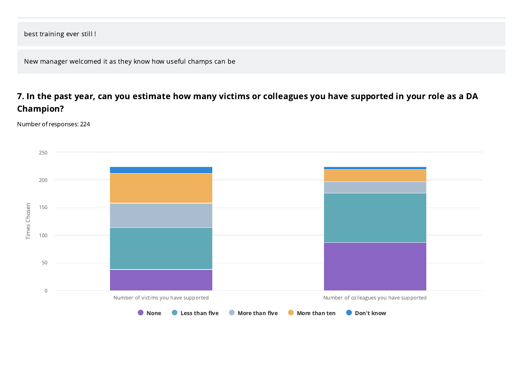best training ever still !

New manager welcomed it as they know how useful champs can be

# 7. In the past year, can you estimate how many victims or colleagues you have supported in your role as a DA Champion?

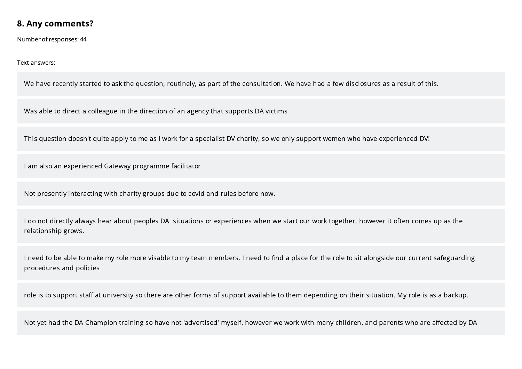## 8. Any comments?

Number of responses: 44

#### Text answers:

We have recently started to ask the question, routinely, as part of the consultation. We have had a few disclosures as a result of this.

Was able to direct a colleague in the direction of an agency that supports DA victims

This question doesn't quite apply to me as I work for a specialist DV charity, so we only support women who have experienced DV!

I am also an experienced Gateway programme facilitator

Not presently interacting with charity groups due to covid and rules before now.

I do not directly always hear about peoples DA situations or experiences when we start our work together, however it often comes up as the relationship grows.

I need to be able to make my role more visable to my team members. I need to find a place for the role to sit alongside our current safeguarding procedures and policies

role is to support staff at university so there are other forms of support available to them depending on their situation. My role is as a backup.

Not yet had the DA Champion training so have not 'advertised' myself, however we work with many children, and parents who are affected by DA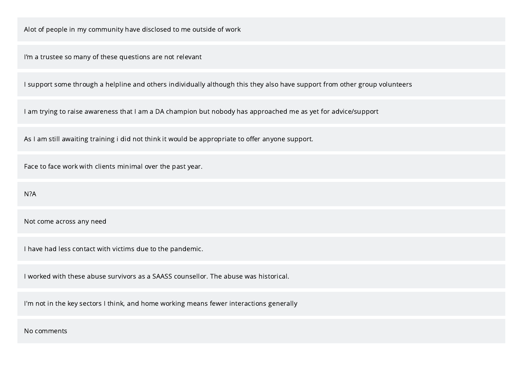Alot of people in my community have disclosed to me outside of work

I'm a trustee so many of these questions are not relevant

I support some through a helpline and others individually although this they also have support from other group volunteers

I am trying to raise awareness that I am a DA champion but nobody has approached me as yet for advice/support

As I am still awaiting training i did not think it would be appropriate to offer anyone support.

Face to face work with clients minimal over the past year.

N?A

Not come across any need

I have had less contact with victims due to the pandemic.

I worked with these abuse survivors as a SAASS counsellor. The abuse was historical.

I'm not in the key sectors I think, and home working means fewer interactions generally

No comments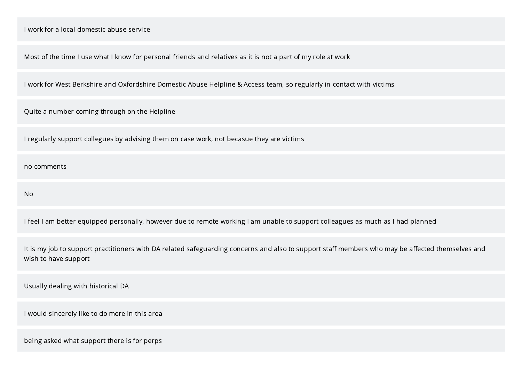Most of the time I use what I know for personal friends and relatives as it is not a part of my role at work

I work for West Berkshire and Oxfordshire Domestic Abuse Helpline & Access team, so regularly in contact with victims

Quite a number coming through on the Helpline

I regularly support collegues by advising them on case work, not becasue they are victims

no comments

No

I feel I am better equipped personally, however due to remote working I am unable to support colleagues as much as I had planned

It is my job to support practitioners with DA related safeguarding concerns and also to support staff members who may be affected themselves and wish to have support

Usually dealing with historical DA

I would sincerely like to do more in this area

being asked what support there is for perps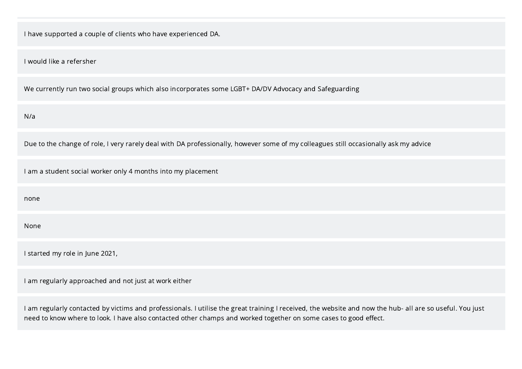I have supported a couple of clients who have experienced DA.

I would like a refersher

We currently run two social groups which also incorporates some LGBT+ DA/DV Advocacy and Safeguarding

N/a

Due to the change of role, I very rarely deal with DA professionally, however some of my colleagues still occasionally ask my advice

I am a student social worker only 4 months into my placement

none

None

I started my role in June 2021,

I am regularly approached and not just at work either

I am regularly contacted by victims and professionals. I utilise the great training I received, the website and now the hub- all are so useful. You just need to know where to look. I have also contacted other champs and worked together on some cases to good effect.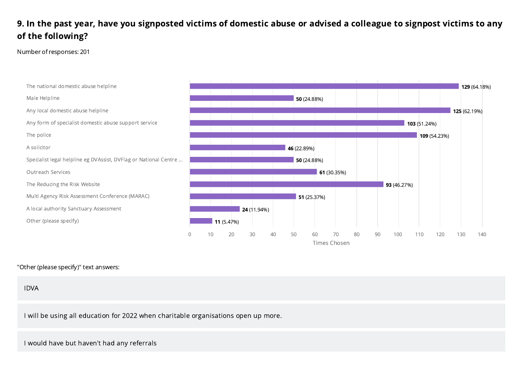# 9. In the past year, have you signposted victims of domestic abuse or advised a colleague to signpost victims to any of the following?

Number of responses: 201



#### "Other (please specify)" text answers:

IDVA

I will be using all education for 2022 when charitable organisations open up more.

I would have but haven't had any referrals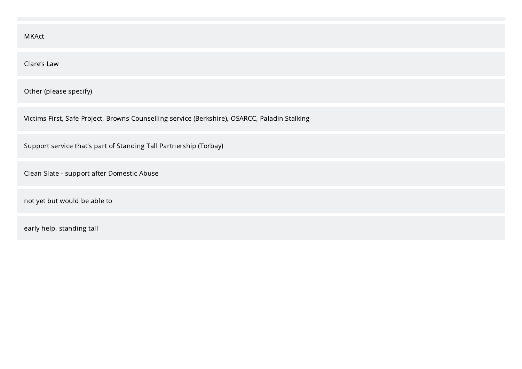| MKAct                                                                                         |
|-----------------------------------------------------------------------------------------------|
| Clare's Law                                                                                   |
| Other (please specify)                                                                        |
| Victims First, Safe Project, Browns Counselling service (Berkshire), OSARCC, Paladin Stalking |
| Support service that's part of Standing Tall Partnership (Torbay)                             |
| Clean Slate - support after Domestic Abuse                                                    |
| not yet but would be able to                                                                  |
| early help, standing tall                                                                     |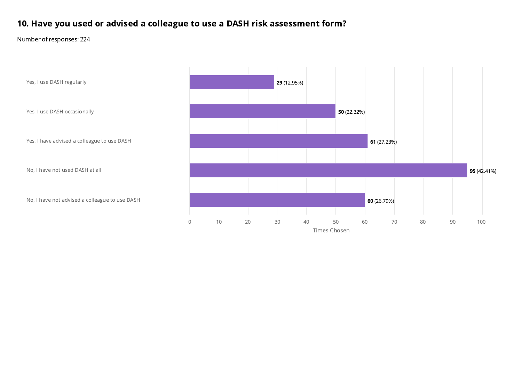# 10. Have you used or advised a colleague to use a DASH risk assessment form?

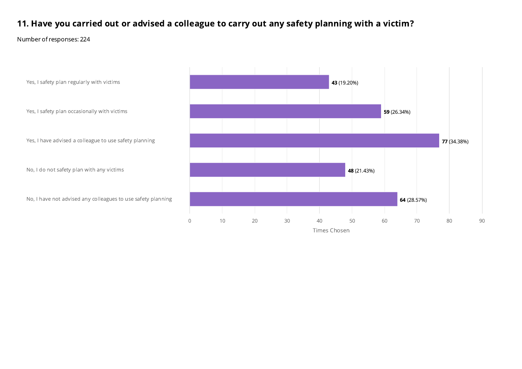# 11. Have you carried out or advised a colleague to carry out any safety planning with a victim?

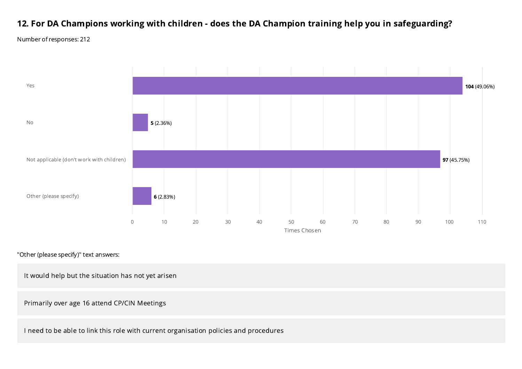# 12. For DA Champions working with children - does the DA Champion training help you in safeguarding?

Number of responses: 212



"Other (please specify)" text answers:

It would help but the situation has not yet arisen

Primarily over age 16 attend CP/CIN Meetings

I need to be able to link this role with current organisation policies and procedures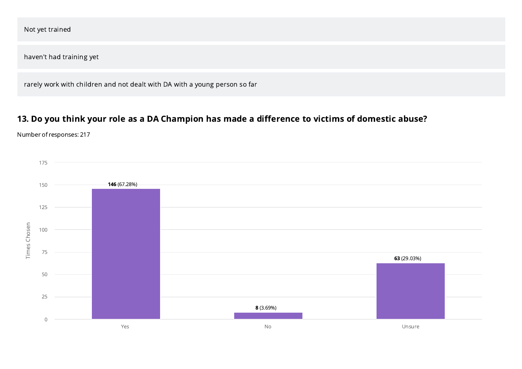| Not yet trained                                                            |
|----------------------------------------------------------------------------|
| haven't had training yet                                                   |
| rarely work with children and not dealt with DA with a young person so far |

# 13. Do you think your role as a DA Champion has made a difference to victims of domestic abuse?

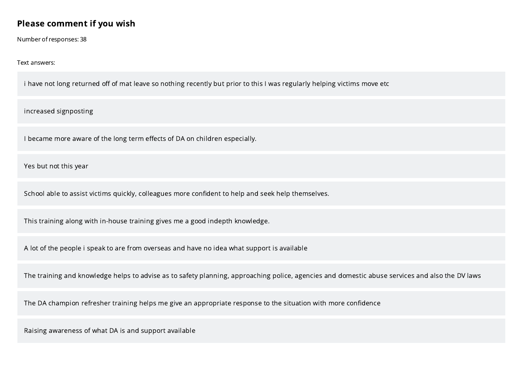## Please comment if you wish

Number of responses: 38

Text answers:

i have not long returned off of mat leave so nothing recently but prior to this I was regularly helping victims move etc

increased signposting

I became more aware of the long term effects of DA on children especially.

Yes but not this year

School able to assist victims quickly, colleagues more confident to help and seek help themselves.

This training along with in-house training gives me a good indepth knowledge.

A lot of the people i speak to are from overseas and have no idea what support is available

The training and knowledge helps to advise as to safety planning, approaching police, agencies and domestic abuse services and also the DV laws

The DA champion refresher training helps me give an appropriate response to the situation with more confidence

Raising awareness of what DA is and support available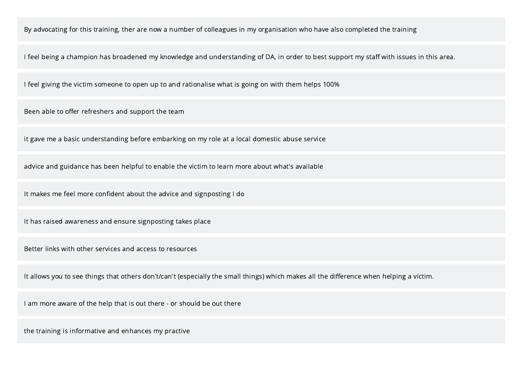By advocating for this training, ther are now a number of colleagues in my organisation who have also completed the training

I feel being a champion has broadened my knowledge and understanding of DA, in order to best support my staff with issues in this area.

I feel giving the victim someone to open up to and rationalise what is going on with them helps 100%

Been able to offer refreshers and support the team

it gave me a basic understanding before embarking on my role at a local domestic abuse service

advice and guidance has been helpful to enable the victim to learn more about what's available

It makes me feel more confident about the advice and signposting I do

It has raised awareness and ensure signposting takes place

Better links with other services and access to resources

It allows you to see things that others don't/can't (especially the small things) which makes all the difference when helping a victim.

I am more aware of the help that is out there - or should be out there

the training is informative and enhances my practive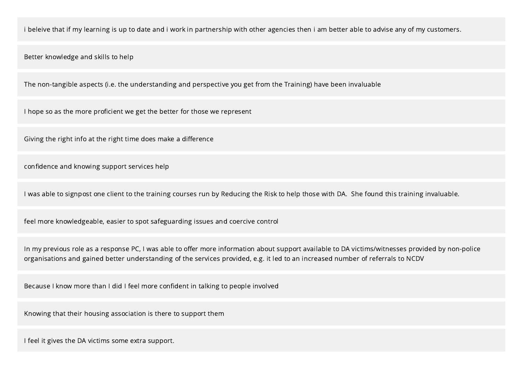i beleive that if my learning is up to date and i work in partnership with other agencies then i am better able to advise any of my customers.

Better knowledge and skills to help

The non-tangible aspects (i.e. the understanding and perspective you get from the Training) have been invaluable

I hope so as the more proficient we get the better for those we represent

Giving the right info at the right time does make a difference

confidence and knowing support services help

I was able to signpost one client to the training courses run by Reducing the Risk to help those with DA. She found this training invaluable.

feel more knowledgeable, easier to spot safeguarding issues and coercive control

In my previous role as a response PC, I was able to offer more information about support available to DA victims/witnesses provided by non-police organisations and gained better understanding of the services provided, e.g. it led to an increased number of referrals to NCDV

Because I know more than I did I feel more confident in talking to people involved

Knowing that their housing association is there to support them

I feel it gives the DA victims some extra support.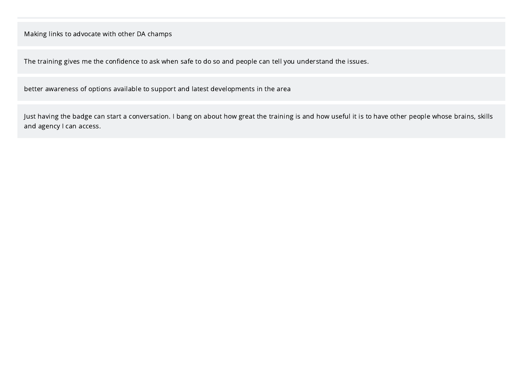Making links to advocate with other DA champs

The training gives me the confidence to ask when safe to do so and people can tell you understand the issues.

better awareness of options available to support and latest developments in the area

Just having the badge can start a conversation. I bang on about how great the training is and how useful it is to have other people whose brains, skills and agency I can access.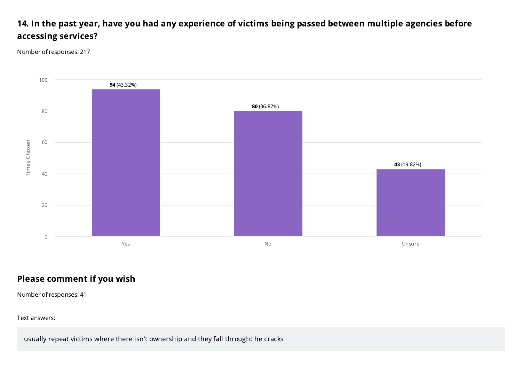# 14. In the past year, have you had any experience of victims being passed between multiple agencies before accessing services?

Number of responses: 217



# Please comment if you wish

Number of responses: 41

Text answers:

usually repeat victims where there isn't ownership and they fall throught he cracks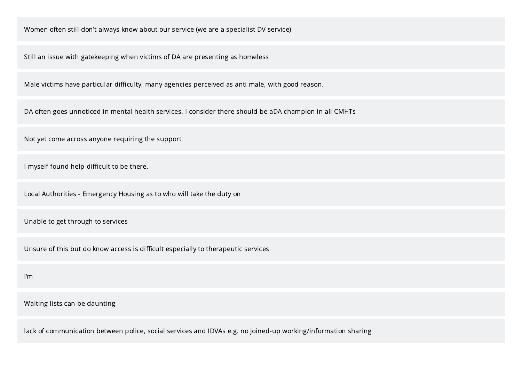Women often still don't always know about our service (we are a specialist DV service)

Still an issue with gatekeeping when victims of DA are presenting as homeless

Male victims have particular difficulty, many agencies perceived as anti male, with good reason.

DA often goes unnoticed in mental health services. I consider there should be aDA champion in all CMHTs

Not yet come across anyone requiring the support

I myself found help difficult to be there.

Local Authorities - Emergency Housing as to who will take the duty on

Unable to get through to services

Unsure of this but do know access is difficult especially to therapeutic services

I'm

Waiting lists can be daunting

lack of communication between police, social services and IDVAs e.g. no joined-up working/information sharing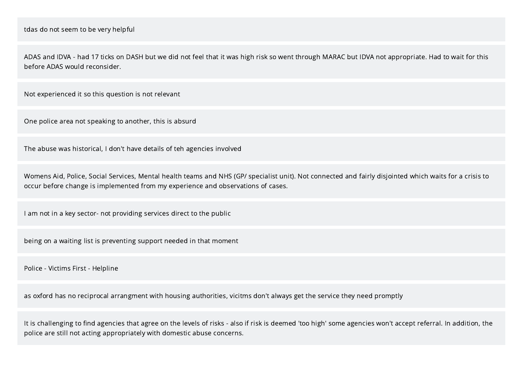ADAS and IDVA - had 17 ticks on DASH but we did not feel that it was high risk so went through MARAC but IDVA not appropriate. Had to wait for this before ADAS would reconsider.

Not experienced it so this question is not relevant

One police area not speaking to another, this is absurd

The abuse was historical, I don't have details of teh agencies involved

Womens Aid, Police, Social Services, Mental health teams and NHS (GP/ specialist unit). Not connected and fairly disjointed which waits for a crisis to occur before change is implemented from my experience and observations of cases.

I am not in a key sector- not providing services direct to the public

being on a waiting list is preventing support needed in that moment

Police - Victims First - Helpline

as oxford has no reciprocal arrangment with housing authorities, vicitms don't always get the service they need promptly

It is challenging to find agencies that agree on the levels of risks - also if risk is deemed 'too high' some agencies won't accept referral. In addition, the police are still not acting appropriately with domestic abuse concerns.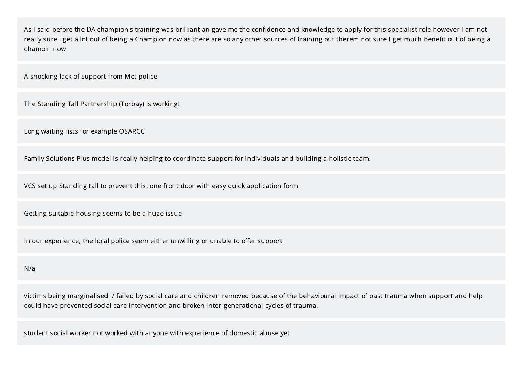As I said before the DA champion's training was brilliant an gave me the confidence and knowledge to apply for this specialist role however I am not really sure i get a lot out of being a Champion now as there are so any other sources of training out therem not sure I get much benefit out of being a chamoin now

A shocking lack of support from Met police

The Standing Tall Partnership (Torbay) is working!

Long waiting lists for example OSARCC

Family Solutions Plus model is really helping to coordinate support for individuals and building a holistic team.

VCS set up Standing tall to prevent this. one front door with easy quick application form

Getting suitable housing seems to be a huge issue

In our experience, the local police seem either unwilling or unable to offer support

#### N/a

victims being marginalised / failed by social care and children removed because of the behavioural impact of past trauma when support and help could have prevented social care intervention and broken inter-generational cycles of trauma.

student social worker not worked with anyone with experience of domestic abuse yet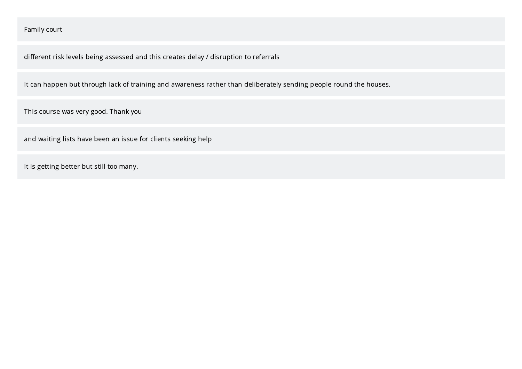#### Family court

different risk levels being assessed and this creates delay / disruption to referrals

It can happen but through lack of training and awareness rather than deliberately sending people round the houses.

This course was very good. Thank you

and waiting lists have been an issue for clients seeking help

It is getting better but still too many.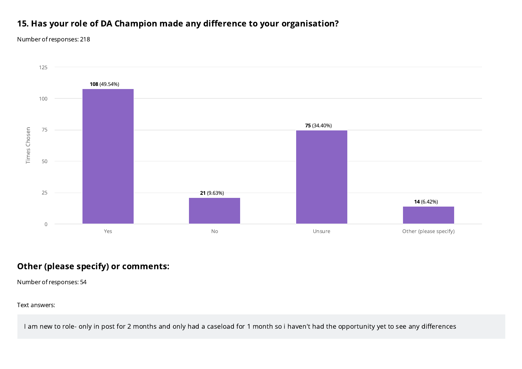### 15. Has your role of DA Champion made any difference to your organisation?

Number of responses: 218



### Other (please specify) or comments:

Number of responses: 54

Text answers:

I am new to role- only in post for 2 months and only had a caseload for 1 month so i haven't had the opportunity yet to see any differences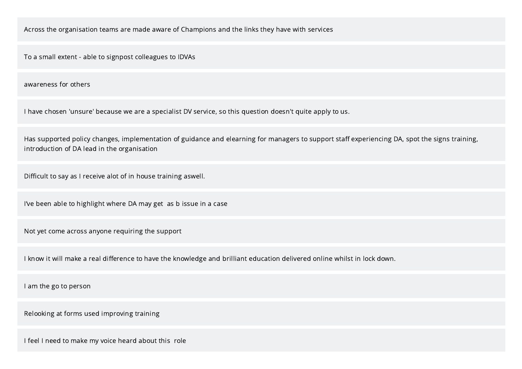Across the organisation teams are made aware of Champions and the links they have with services

To a small extent - able to signpost colleagues to IDVAs

awareness for others

I have chosen 'unsure' because we are a specialist DV service, so this question doesn't quite apply to us.

Has supported policy changes, implementation of guidance and elearning for managers to support staff experiencing DA, spot the signs training, introduction of DA lead in the organisation

Difficult to say as I receive alot of in house training aswell.

I've been able to highlight where DA may get as b issue in a case

Not yet come across anyone requiring the support

I know it will make a real difference to have the knowledge and brilliant education delivered online whilst in lock down.

I am the go to person

Relooking at forms used improving training

I feel I need to make my voice heard about this role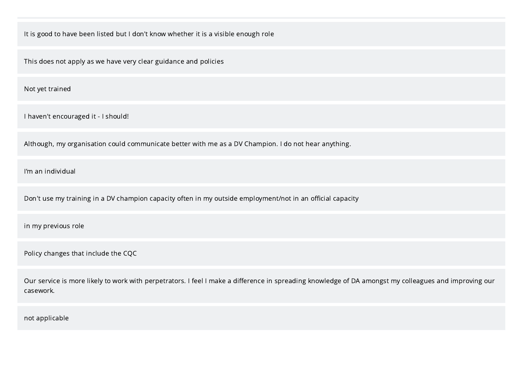It is good to have been listed but I don't know whether it is a visible enough role

This does not apply as we have very clear guidance and policies

Not yet trained

I haven't encouraged it - I should!

Although, my organisation could communicate better with me as a DV Champion. I do not hear anything.

I'm an individual

Don't use my training in a DV champion capacity often in my outside employment/not in an official capacity

in my previous role

Policy changes that include the CQC

Our service is more likely to work with perpetrators. I feel I make a difference in spreading knowledge of DA amongst my colleagues and improving our casework.

not applicable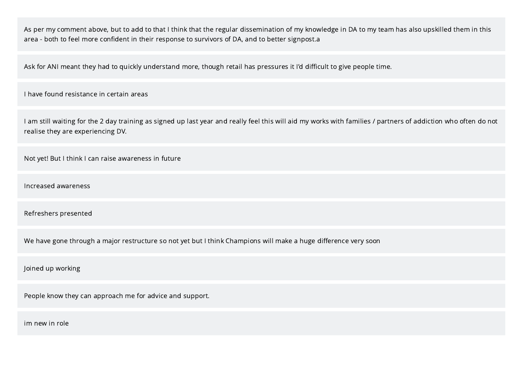As per my comment above, but to add to that I think that the regular dissemination of my knowledge in DA to my team has also upskilled them in this area - both to feel more confident in their response to survivors of DA, and to better signpost.a

Ask for ANI meant they had to quickly understand more, though retail has pressures it I'd difficult to give people time.

I have found resistance in certain areas

I am still waiting for the 2 day training as signed up last year and really feel this will aid my works with families / partners of addiction who often do not realise they are experiencing DV.

Not yet! But I think I can raise awareness in future

Increased awareness

Refreshers presented

We have gone through a major restructure so not yet but I think Champions will make a huge difference very soon

Joined up working

People know they can approach me for advice and support.

im new in role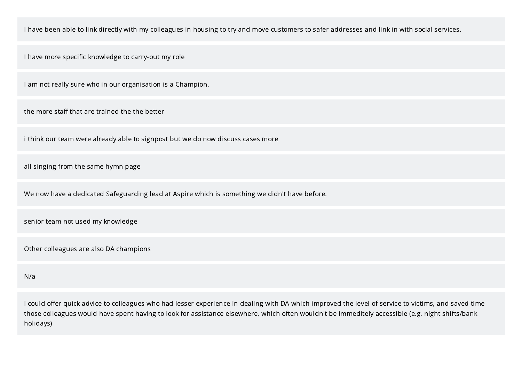I have been able to link directly with my colleagues in housing to try and move customers to safer addresses and link in with social services.

I have more specific knowledge to carry-out my role

I am not really sure who in our organisation is a Champion.

the more staff that are trained the the better

i think our team were already able to signpost but we do now discuss cases more

all singing from the same hymn page

We now have a dedicated Safeguarding lead at Aspire which is something we didn't have before.

senior team not used my knowledge

Other colleagues are also DA champions

N/a

I could offer quick advice to colleagues who had lesser experience in dealing with DA which improved the level of service to victims, and saved time those colleagues would have spent having to look for assistance elsewhere, which often wouldn't be immeditely accessible (e.g. night shifts/bank holidays)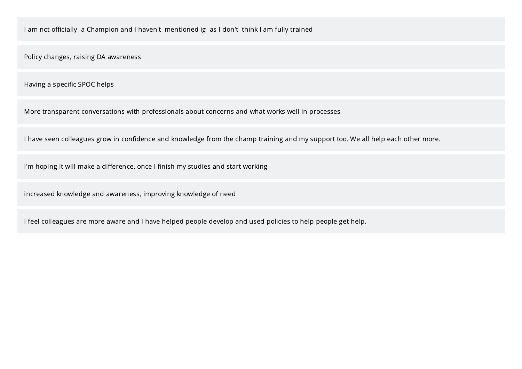I am not officially a Champion and I haven't mentioned ig as I don't think I am fully trained

Policy changes, raising DA awareness

Having a specific SPOC helps

More transparent conversations with professionals about concerns and what works well in processes

I have seen colleagues grow in confidence and knowledge from the champ training and my support too. We all help each other more.

I'm hoping it will make a difference, once I finish my studies and start working

increased knowledge and awareness, improving knowledge of need

I feel colleagues are more aware and I have helped people develop and used policies to help people get help.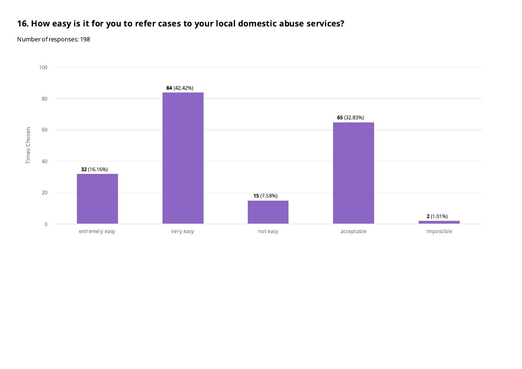# 16. How easy is it for you to refer cases to your local domestic abuse services?

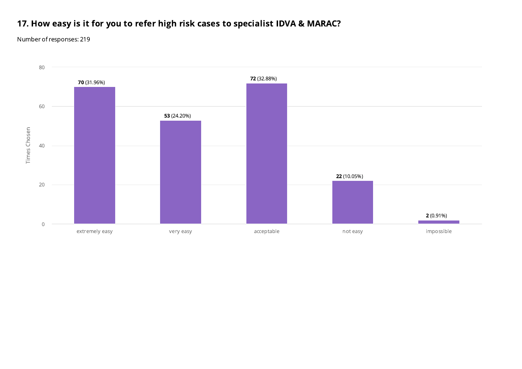## 17. How easy is it for you to refer high risk cases to specialist IDVA & MARAC?

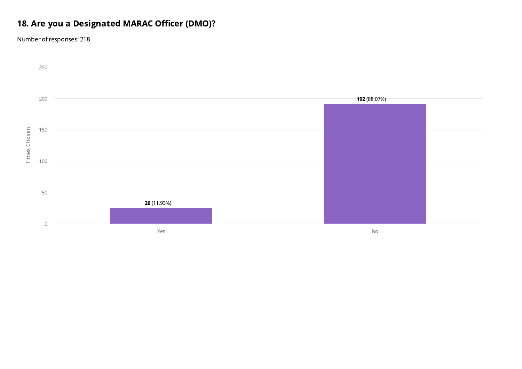# 18. Are you a Designated MARAC Officer (DMO)?

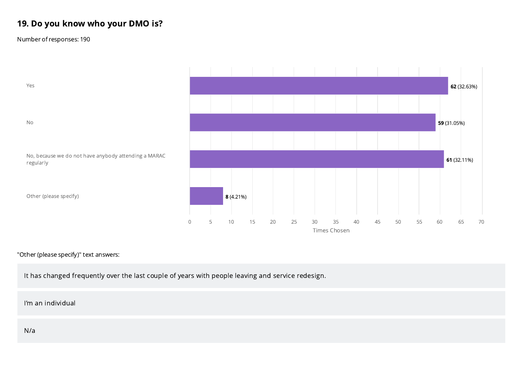## 19. Do you know who your DMO is?

Number of responses: 190



#### "Other (please specify)" text answers:

It has changed frequently over the last couple of years with people leaving and service redesign.

I'm an individual

N/a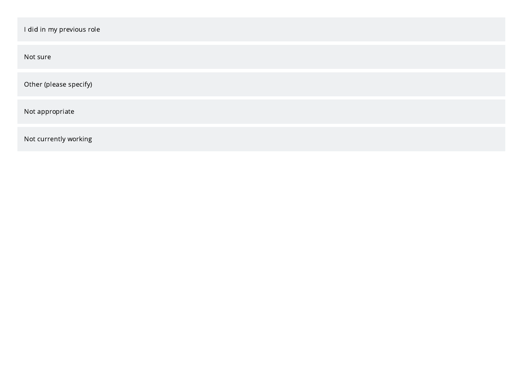| I did in my previous role |
|---------------------------|
| Not sure                  |
| Other (please specify)    |
| Not appropriate           |
| Not currently working     |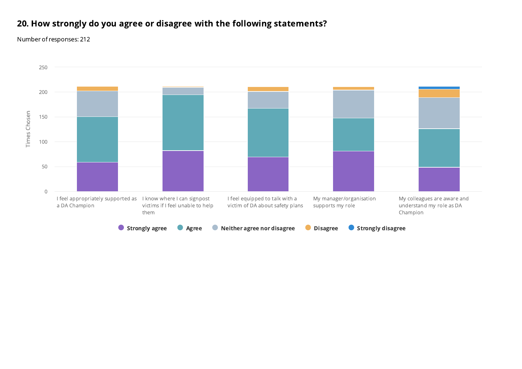# 20. How strongly do you agree or disagree with the following statements?

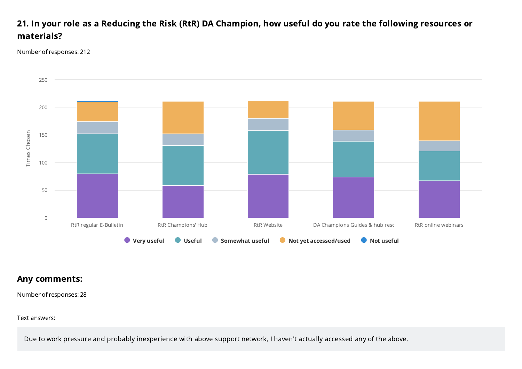## 21. In your role as a Reducing the Risk (RtR) DA Champion, how useful do you rate the following resources or materials?

Number of responses: 212



### Any comments:

Number of responses: 28

Text answers:

Due to work pressure and probably inexperience with above support network, I haven't actually accessed any of the above.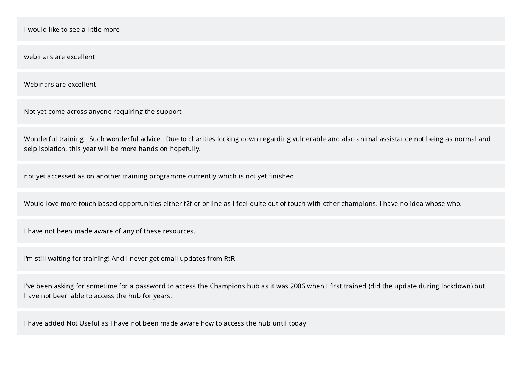I would like to see a little more

webinars are excellent

Webinars are excellent

Not yet come across anyone requiring the support

Wonderful training. Such wonderful advice. Due to charities locking down regarding vulnerable and also animal assistance not being as normal and selp isolation, this year will be more hands on hopefully.

not yet accessed as on another training programme currently which is not yet finished

Would love more touch based opportunities either f2f or online as I feel quite out of touch with other champions. I have no idea whose who.

I have not been made aware of any of these resources.

I'm still waiting for training! And I never get email updates from RtR

I've been asking for sometime for a password to access the Champions hub as it was 2006 when I first trained (did the update during lockdown) but have not been able to access the hub for years.

I have added Not Useful as I have not been made aware how to access the hub until today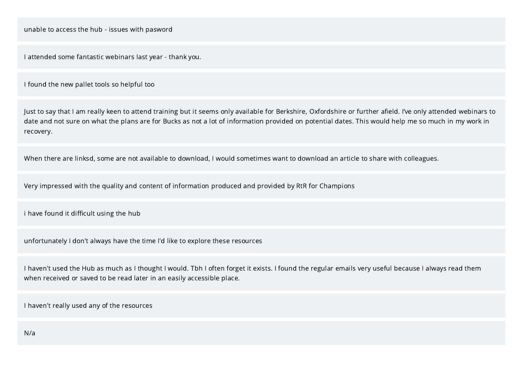I attended some fantastic webinars last year - thank you.

I found the new pallet tools so helpful too

Just to say that I am really keen to attend training but it seems only available for Berkshire, Oxfordshire or further afield. I've only attended webinars to date and not sure on what the plans are for Bucks as not a lot of information provided on potential dates. This would help me so much in my work in recovery.

When there are linksd, some are not available to download, I would sometimes want to download an article to share with colleagues.

Very impressed with the quality and content of information produced and provided by RtR for Champions

i have found it difficult using the hub

unfortunately I don't always have the time I'd like to explore these resources

I haven't used the Hub as much as I thought I would. Tbh I often forget it exists. I found the regular emails very useful because I always read them when received or saved to be read later in an easily accessible place.

I haven't really used any of the resources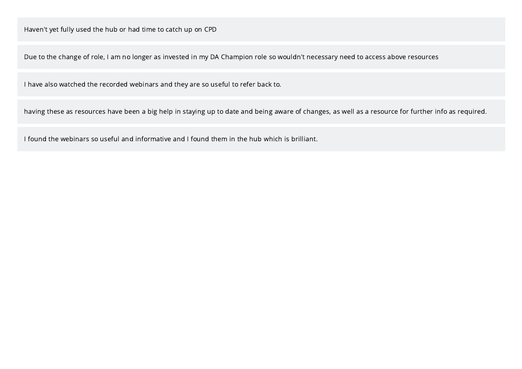Due to the change of role, I am no longer as invested in my DA Champion role so wouldn't necessary need to access above resources

I have also watched the recorded webinars and they are so useful to refer back to.

having these as resources have been a big help in staying up to date and being aware of changes, as well as a resource for further info as required.

I found the webinars so useful and informative and I found them in the hub which is brilliant.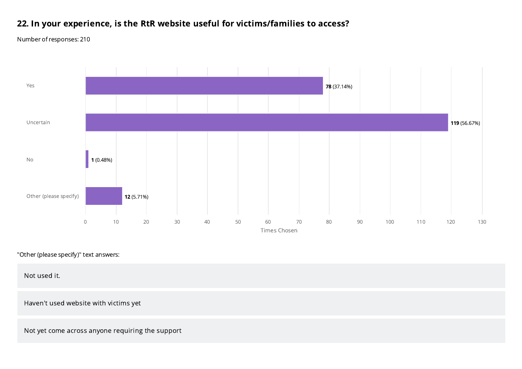# 22. In your experience, is the RtR website useful for victims/families to access?

Number of responses: 210



"Other (please specify)" text answers:

Not used it.

Haven't used website with victims yet

Not yet come across anyone requiring the support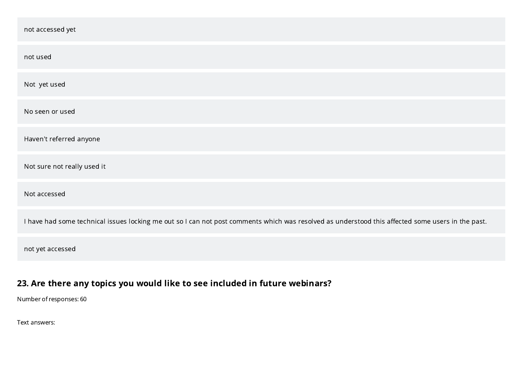| not accessed yet                                                                                                                                  |
|---------------------------------------------------------------------------------------------------------------------------------------------------|
| not used                                                                                                                                          |
| Not yet used                                                                                                                                      |
| No seen or used                                                                                                                                   |
| Haven't referred anyone                                                                                                                           |
| Not sure not really used it                                                                                                                       |
| Not accessed                                                                                                                                      |
| I have had some technical issues locking me out so I can not post comments which was resolved as understood this affected some users in the past. |
| not yet accessed                                                                                                                                  |

# 23. Are there any topics you would like to see included in future webinars?

Number of responses: 60

Text answers: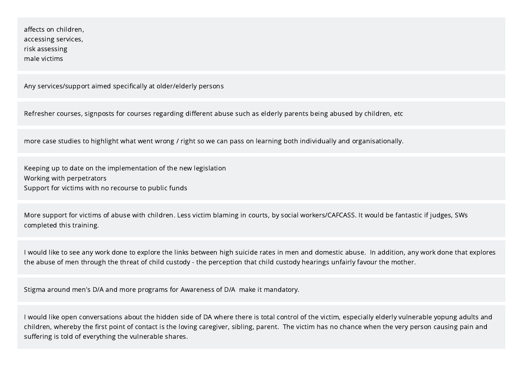affects on children, accessing services, risk assessing male victims

Any services/support aimed specifically at older/elderly persons

Refresher courses, signposts for courses regarding different abuse such as elderly parents being abused by children, etc

more case studies to highlight what went wrong / right so we can pass on learning both individually and organisationally.

Keeping up to date on the implementation of the new legislation Working with perpetrators Support for victims with no recourse to public funds

More support for victims of abuse with children. Less victim blaming in courts, by social workers/CAFCASS. It would be fantastic if judges, SWs completed this training.

I would like to see any work done to explore the links between high suicide rates in men and domestic abuse. In addition, any work done that explores the abuse of men through the threat of child custody - the perception that child custody hearings unfairly favour the mother.

Stigma around men's D/A and more programs for Awareness of D/A make it mandatory.

I would like open conversations about the hidden side of DA where there is total control of the victim, especially elderly vulnerable yopung adults and children, whereby the first point of contact is the loving caregiver, sibling, parent. The victim has no chance when the very person causing pain and suffering is told of everything the vulnerable shares.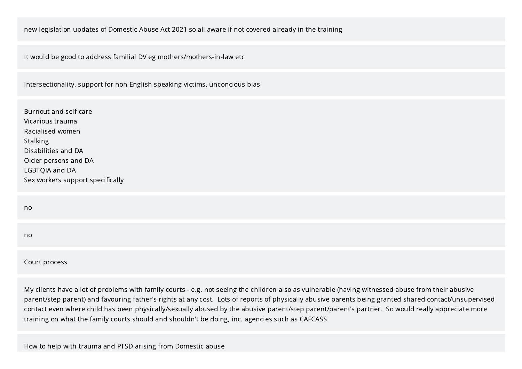#### new legislation updates of Domestic Abuse Act 2021 so all aware if not covered already in the training

It would be good to address familial DV eg mothers/mothers-in-law etc

Intersectionality, support for non English speaking victims, unconcious bias

Burnout and self care Vicarious trauma Racialised women Stalking Disabilities and DA Older persons and DA LGBTQIA and DA Sex workers support specifically

no

no

Court process

My clients have a lot of problems with family courts - e.g. not seeing the children also as vulnerable (having witnessed abuse from their abusive parent/step parent) and favouring father's rights at any cost. Lots of reports of physically abusive parents being granted shared contact/unsupervised contact even where child has been physically/sexually abused by the abusive parent/step parent/parent's partner. So would really appreciate more training on what the family courts should and shouldn't be doing, inc. agencies such as CAFCASS.

How to help with trauma and PTSD arising from Domestic abuse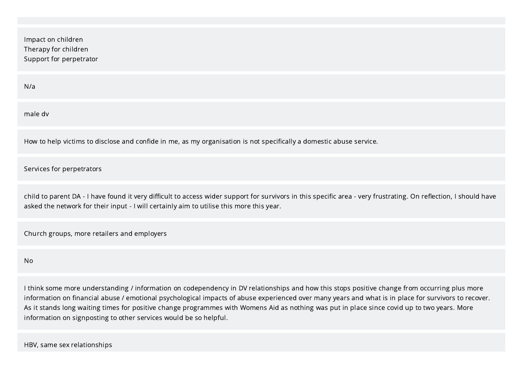| Impact on children<br>Therapy for children<br>Support for perpetrator                                                                                                                                                                                        |
|--------------------------------------------------------------------------------------------------------------------------------------------------------------------------------------------------------------------------------------------------------------|
| N/a                                                                                                                                                                                                                                                          |
| male dv                                                                                                                                                                                                                                                      |
| How to help victims to disclose and confide in me, as my organisation is not specifically a domestic abuse service.                                                                                                                                          |
| Services for perpetrators                                                                                                                                                                                                                                    |
| child to parent DA - I have found it very difficult to access wider support for survivors in this specific area - very frustrating. On reflection, I should have<br>asked the network for their input - I will certainly aim to utilise this more this year. |
| Church groups, more retailers and employers                                                                                                                                                                                                                  |

No

I think some more understanding / information on codependency in DV relationships and how this stops positive change from occurring plus more information on financial abuse / emotional psychological impacts of abuse experienced over many years and what is in place for survivors to recover. As it stands long waiting times for positive change programmes with Womens Aid as nothing was put in place since covid up to two years. More information on signposting to other services would be so helpful.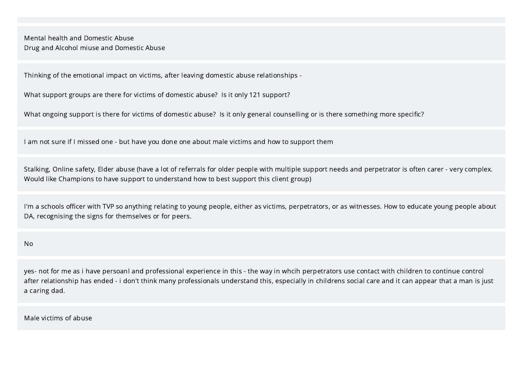Mental health and Domestic Abuse Drug and Alcohol miuse and Domestic Abuse

Thinking of the emotional impact on victims, after leaving domestic abuse relationships -

What support groups are there for victims of domestic abuse? Is it only 121 support?

What ongoing support is there for victims of domestic abuse? Is it only general counselling or is there something more specific?

I am not sure if I missed one - but have you done one about male victims and how to support them

Stalking, Online safety, Elder abuse (have a lot of referrals for older people with multiple support needs and perpetrator is often carer - very complex. Would like Champions to have support to understand how to best support this client group)

I'm a schools officer with TVP so anything relating to young people, either as victims, perpetrators, or as witnesses. How to educate young people about DA, recognising the signs for themselves or for peers.

No

yes- not for me as i have persoanl and professional experience in this - the way in whcih perpetrators use contact with children to continue control after relationship has ended - i don't think many professionals understand this, especially in childrens social care and it can appear that a man is just a caring dad.

Male victims of abuse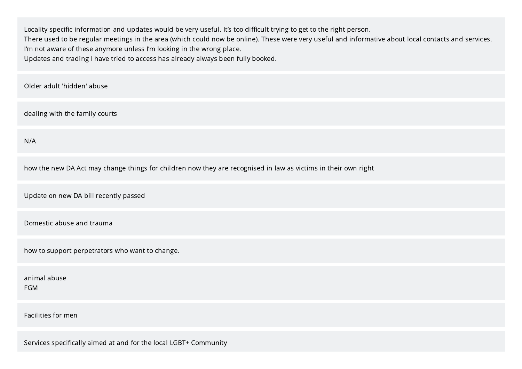Locality specific information and updates would be very useful. It's too difficult trying to get to the right person. There used to be regular meetings in the area (which could now be online). These were very useful and informative about local contacts and services. I'm not aware of these anymore unless I'm looking in the wrong place. Updates and trading I have tried to access has already always been fully booked.

Older adult 'hidden' abuse

dealing with the family courts

N/A

how the new DA Act may change things for children now they are recognised in law as victims in their own right

Update on new DA bill recently passed

Domestic abuse and trauma

how to support perpetrators who want to change.

animal abuse FGM

Facilities for men

Services specifically aimed at and for the local LGBT+ Community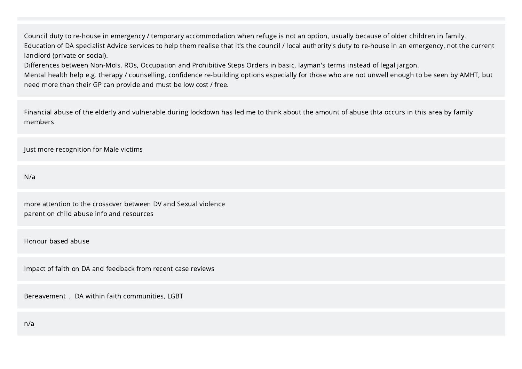Council duty to re-house in emergency / temporary accommodation when refuge is not an option, usually because of older children in family. Education of DA specialist Advice services to help them realise that it's the council / local authority's duty to re-house in an emergency, not the current landlord (private or social).

Differences between Non-Mols, ROs, Occupation and Prohibitive Steps Orders in basic, layman's terms instead of legal jargon.

Mental health help e.g. therapy / counselling, confidence re-building options especially for those who are not unwell enough to be seen by AMHT, but need more than their GP can provide and must be low cost / free.

Financial abuse of the elderly and vulnerable during lockdown has led me to think about the amount of abuse thta occurs in this area by family members

Just more recognition for Male victims

N/a

more attention to the crossover between DV and Sexual violence parent on child abuse info and resources

Honour based abuse

Impact of faith on DA and feedback from recent case reviews

Bereavement , DA within faith communities, LGBT

n/a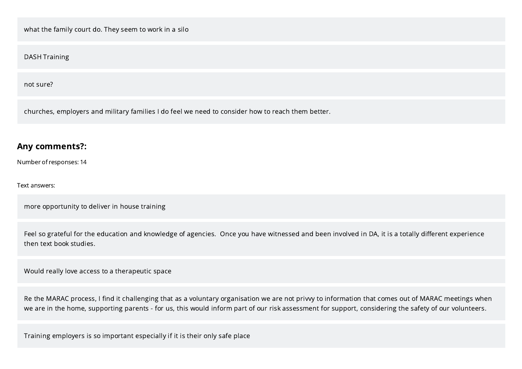what the family court do. They seem to work in a silo

DASH Training

not sure?

churches, employers and military families I do feel we need to consider how to reach them better.

#### Any comments?:

Number of responses: 14

Text answers:

more opportunity to deliver in house training

Feel so grateful for the education and knowledge of agencies. Once you have witnessed and been involved in DA, it is a totally different experience then text book studies.

Would really love access to a therapeutic space

Re the MARAC process, I find it challenging that as a voluntary organisation we are not privvy to information that comes out of MARAC meetings when we are in the home, supporting parents - for us, this would inform part of our risk assessment for support, considering the safety of our volunteers.

Training employers is so important especially if it is their only safe place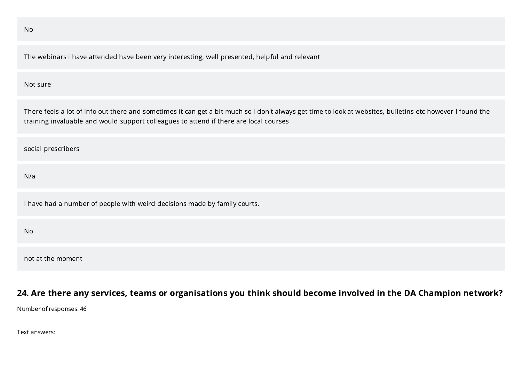|--|--|

The webinars i have attended have been very interesting, well presented, helpful and relevant

#### Not sure

There feels a lot of info out there and sometimes it can get a bit much so i don't always get time to look at websites, bulletins etc however I found the training invaluable and would support colleagues to attend if there are local courses

social prescribers

N/a

I have had a number of people with weird decisions made by family courts.

No

not at the moment

### 24. Are there any services, teams or organisations you think should become involved in the DA Champion network?

Number of responses: 46

Text answers: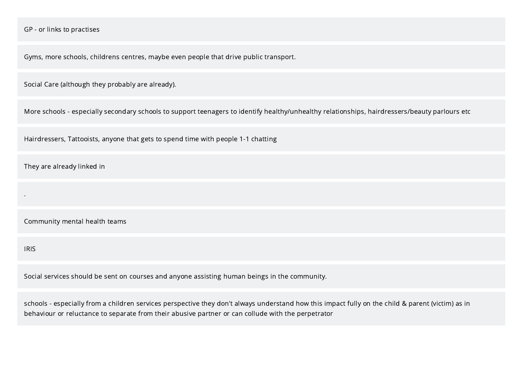GP - or links to practises

Gyms, more schools, childrens centres, maybe even people that drive public transport.

Social Care (although they probably are already).

More schools - especially secondary schools to support teenagers to identify healthy/unhealthy relationships, hairdressers/beauty parlours etc

Hairdressers, Tattooists, anyone that gets to spend time with people 1-1 chatting

They are already linked in

Community mental health teams

IRIS

.

Social services should be sent on courses and anyone assisting human beings in the community.

schools - especially from a children services perspective they don't always understand how this impact fully on the child & parent (victim) as in behaviour or reluctance to separate from their abusive partner or can collude with the perpetrator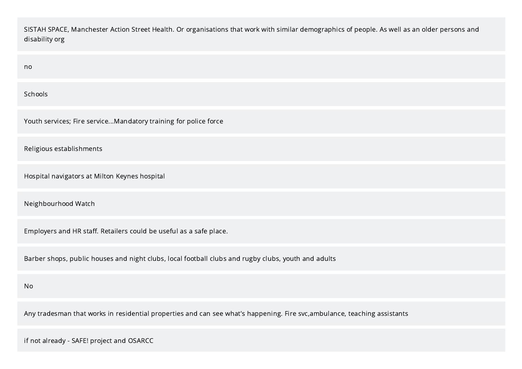SISTAH SPACE, Manchester Action Street Health. Or organisations that work with similar demographics of people. As well as an older persons and disability org

| no                                                                                                                        |
|---------------------------------------------------------------------------------------------------------------------------|
| Schools                                                                                                                   |
| Youth services; Fire serviceMandatory training for police force                                                           |
| Religious establishments                                                                                                  |
| Hospital navigators at Milton Keynes hospital                                                                             |
| Neighbourhood Watch                                                                                                       |
| Employers and HR staff. Retailers could be useful as a safe place.                                                        |
| Barber shops, public houses and night clubs, local football clubs and rugby clubs, youth and adults                       |
| <b>No</b>                                                                                                                 |
| Any tradesman that works in residential properties and can see what's happening. Fire svc, ambulance, teaching assistants |

if not already - SAFE! project and OSARCC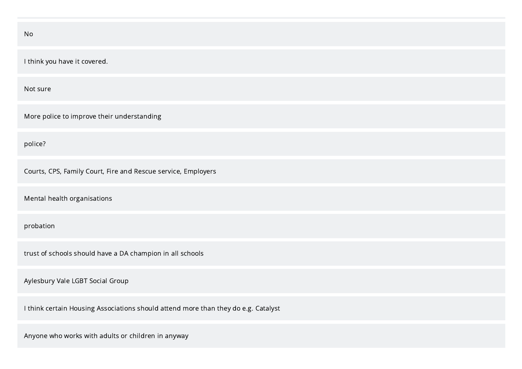| No                                                                                 |
|------------------------------------------------------------------------------------|
| I think you have it covered.                                                       |
| Not sure                                                                           |
| More police to improve their understanding                                         |
| police?                                                                            |
| Courts, CPS, Family Court, Fire and Rescue service, Employers                      |
| Mental health organisations                                                        |
| probation                                                                          |
| trust of schools should have a DA champion in all schools                          |
| Aylesbury Vale LGBT Social Group                                                   |
| I think certain Housing Associations should attend more than they do e.g. Catalyst |
|                                                                                    |

Anyone who works with adults or children in anyway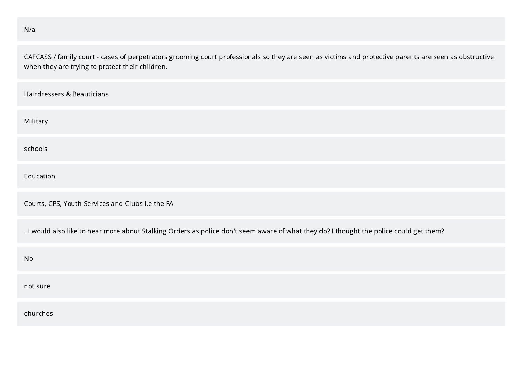#### N/a

CAFCASS / family court - cases of perpetrators grooming court professionals so they are seen as victims and protective parents are seen as obstructive when they are trying to protect their children.

| Hairdressers & Beauticians                                                                                                              |
|-----------------------------------------------------------------------------------------------------------------------------------------|
| Military                                                                                                                                |
| schools                                                                                                                                 |
| Education                                                                                                                               |
| Courts, CPS, Youth Services and Clubs i.e the FA                                                                                        |
| . I would also like to hear more about Stalking Orders as police don't seem aware of what they do? I thought the police could get them? |
| No                                                                                                                                      |
| not sure                                                                                                                                |
| churches                                                                                                                                |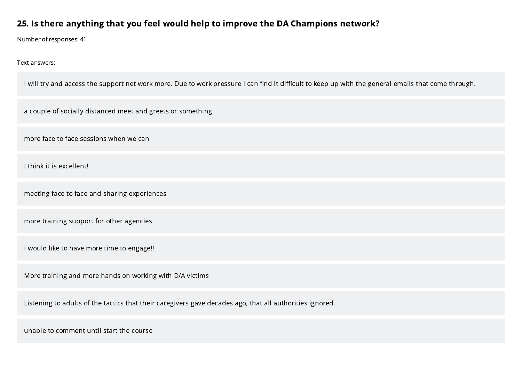### 25. Is there anything that you feel would help to improve the DA Champions network?

Number of responses: 41

Text answers:

I will try and access the support net work more. Due to work pressure I can find it difficult to keep up with the general emails that come through.

a couple of socially distanced meet and greets or something

more face to face sessions when we can

I think it is excellent!

meeting face to face and sharing experiences

more training support for other agencies.

I would like to have more time to engage!!

More training and more hands on working with D/A victims

Listening to adults of the tactics that their caregivers gave decades ago, that all authorities ignored.

unable to comment until start the course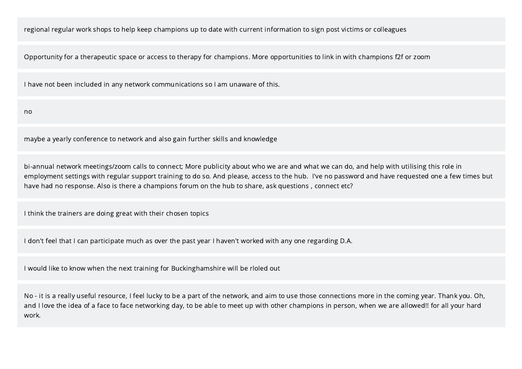regional regular work shops to help keep champions up to date with current information to sign post victims or colleagues

Opportunity for a therapeutic space or access to therapy for champions. More opportunities to link in with champions f2f or zoom

I have not been included in any network communications so I am unaware of this.

no

maybe a yearly conference to network and also gain further skills and knowledge

bi-annual network meetings/zoom calls to connect; More publicity about who we are and what we can do, and help with utilising this role in employment settings with regular support training to do so. And please, access to the hub. I've no password and have requested one a few times but have had no response. Also is there a champions forum on the hub to share, ask questions , connect etc?

I think the trainers are doing great with their chosen topics

I don't feel that I can participate much as over the past year I haven't worked with any one regarding D.A.

I would like to know when the next training for Buckinghamshire will be rloled out

No - it is a really useful resource, I feel lucky to be a part of the network, and aim to use those connections more in the coming year. Thank you. Oh, and I love the idea of a face to face networking day, to be able to meet up with other champions in person, when we are allowed!! for all your hard work.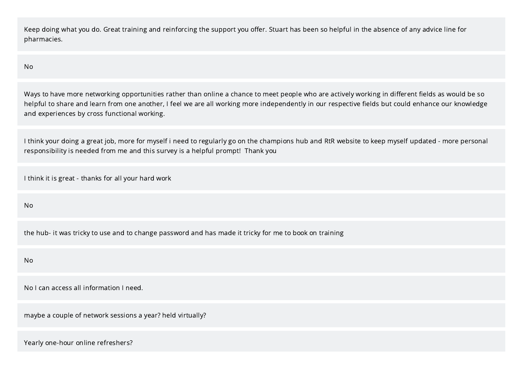Keep doing what you do. Great training and reinforcing the support you offer. Stuart has been so helpful in the absence of any advice line for pharmacies.

No

Ways to have more networking opportunities rather than online a chance to meet people who are actively working in different fields as would be so helpful to share and learn from one another, I feel we are all working more independently in our respective fields but could enhance our knowledge and experiences by cross functional working.

I think your doing a great job, more for myself i need to regularly go on the champions hub and RtR website to keep myself updated - more personal responsibility is needed from me and this survey is a helpful prompt! Thank you

I think it is great - thanks for all your hard work

No

the hub- it was tricky to use and to change password and has made it tricky for me to book on training

No

No I can access all information I need.

maybe a couple of network sessions a year? held virtually?

Yearly one-hour online refreshers?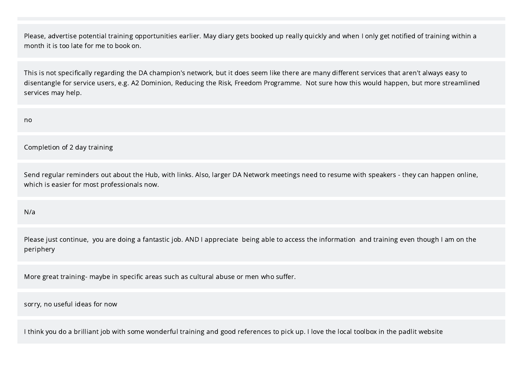Please, advertise potential training opportunities earlier. May diary gets booked up really quickly and when I only get notified of training within a month it is too late for me to book on.

This is not specifically regarding the DA champion's network, but it does seem like there are many different services that aren't always easy to disentangle for service users, e.g. A2 Dominion, Reducing the Risk, Freedom Programme. Not sure how this would happen, but more streamlined services may help.

no

Completion of 2 day training

Send regular reminders out about the Hub, with links. Also, larger DA Network meetings need to resume with speakers - they can happen online, which is easier for most professionals now.

N/a

Please just continue, you are doing a fantastic job. AND I appreciate being able to access the information and training even though I am on the periphery

More great training- maybe in specific areas such as cultural abuse or men who suffer.

sorry, no useful ideas for now

I think you do a brilliant job with some wonderful training and good references to pick up. I love the local toolbox in the padlit website